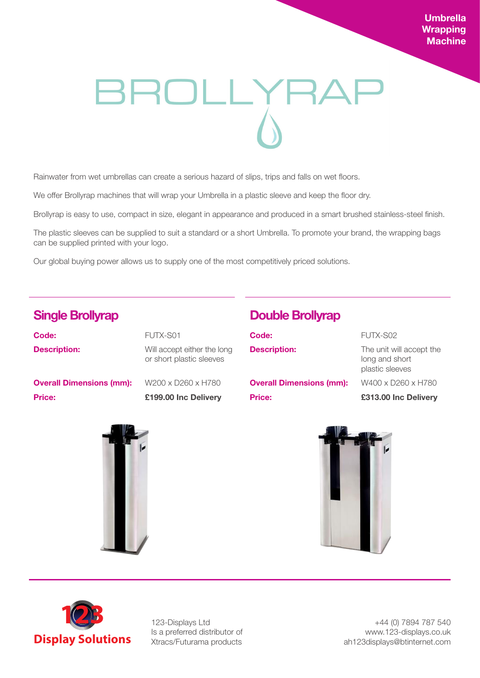# **Umbrella Wrapping Machine**

# BROLLYRA

Rainwater from wet umbrellas can create a serious hazard of slips, trips and falls on wet floors.

We offer Brollyrap machines that will wrap your Umbrella in a plastic sleeve and keep the floor dry.

Brollyrap is easy to use, compact in size, elegant in appearance and produced in a smart brushed stainless-steel finish.

The plastic sleeves can be supplied to suit a standard or a short Umbrella. To promote your brand, the wrapping bags can be supplied printed with your logo.

Our global buying power allows us to supply one of the most competitively priced solutions.

| <b>Price:</b>                   | £199.00 Inc Delivery                                    |
|---------------------------------|---------------------------------------------------------|
| <b>Overall Dimensions (mm):</b> | W200 x D260 x H780                                      |
| <b>Description:</b>             | Will accept either the long<br>or short plastic sleeves |
| Code:                           | FUTX-S01                                                |

# **Single Brollyrap Double Brollyrap**

| Code:                           | FUTX-S02                                                      |
|---------------------------------|---------------------------------------------------------------|
| <b>Description:</b>             | The unit will accept the<br>long and short<br>plastic sleeves |
| <b>Overall Dimensions (mm):</b> | W400 x D260 x H780                                            |
| <b>Price:</b>                   | £313.00 Inc Delivery                                          |







123-Displays Ltd Is a preferred distributor of Xtracs/Futurama products

+44 (0) 7894 787 540 www.123-displays.co.uk ah123displays@btinternet.com